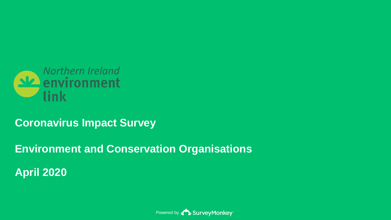

## **Coronavirus Impact Survey**

**Environment and Conservation Organisations**

**April 2020**

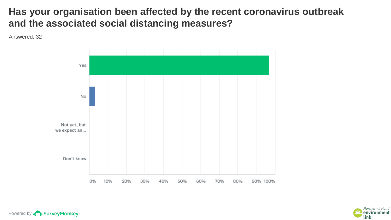### **Has your organisation been affected by the recent coronavirus outbreak and the associated social distancing measures?**



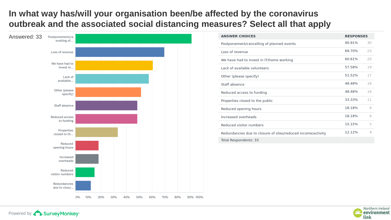### **In what way has/will your organisation been/be affected by the coronavirus outbreak and the associated social distancing measures? Select all that apply**



| <b>ANSWER CHOICES</b>                                        | <b>RESPONSES</b> |    |
|--------------------------------------------------------------|------------------|----|
| Postponement/cancelling of planned events                    | 90.91%           | 30 |
| Loss of revenue                                              | 69.70%           | 23 |
| We have had to invest in IT/home working                     | 60.61%           | 20 |
| Lack of available volunteers                                 | 57.58%           | 19 |
| Other (please specify)                                       | 51.52%           | 17 |
| Staff absence                                                | 48.48%           | 16 |
| Reduced access to funding                                    | 48.48%           | 16 |
| Properties closed to the public                              | 33.33%           | 11 |
| Reduced opening hours                                        | 18.18%           | 6  |
| Increased overheads                                          | 18.18%           | 6  |
| Reduced visitor numbers                                      | 15.15%           | 5  |
| Redundancies due to closure of sites/reduced income/activity | 12.12%           | Δ  |
| Total Respondents: 33                                        |                  |    |

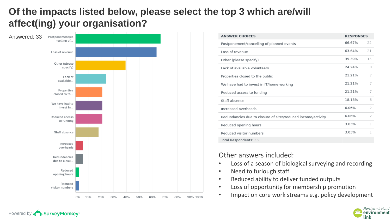### **Of the impacts listed below, please select the top 3 which are/will affect(ing) your organisation?**



Powered by **BurveyMonkey** 

| <b>ANSWER CHOICES</b>                                        | <b>RESPONSES</b> |                |
|--------------------------------------------------------------|------------------|----------------|
| Postponement/cancelling of planned events                    | 66.67%           | 22             |
| Loss of revenue                                              | 63.64%           | 21             |
| Other (please specify)                                       | 39.39%           | 13             |
| Lack of available volunteers                                 | 24.24%           | 8              |
| Properties closed to the public                              | 21.21%           | 7              |
| We have had to invest in IT/home working                     | 21.21%           | 7              |
| Reduced access to funding                                    | 21.21%           | 7              |
| Staff absence                                                | 18.18%           | 6              |
| Increased overheads                                          | 6.06%            | $\overline{z}$ |
| Redundancies due to closure of sites/reduced income/activity | 6.06%            | 2              |
| Reduced opening hours                                        | 3.03%            | 1              |
| Reduced visitor numbers                                      | 3.03%            | 1              |
| Total Respondents: 33                                        |                  |                |

#### Other answers included:

- Loss of a season of biological surveying and recording
- Need to furlough staff
- Reduced ability to deliver funded outputs
- Loss of opportunity for membership promotion
- Impact on core work streams e.g. policy development

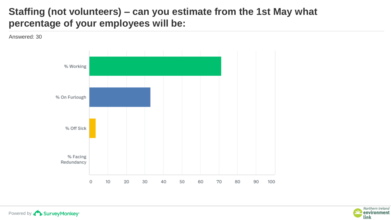### **Staffing (not volunteers) – can you estimate from the 1st May what percentage of your employees will be:**

Answered: 30





Powered by **BurveyMonkey**<sup>\*</sup>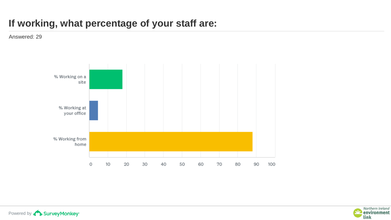## **If working, what percentage of your staff are:**



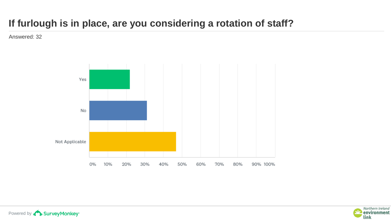## **If furlough is in place, are you considering a rotation of staff?**

Answered: 32



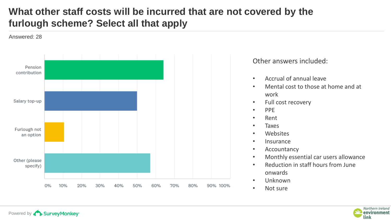## **What other staff costs will be incurred that are not covered by the furlough scheme? Select all that apply**

Answered: 28

Powered by **BurveyMonkey**<sup>\*</sup>



#### Other answers included:

- Accrual of annual leave
- Mental cost to those at home and at work
- Full cost recovery
- PPE
- Rent
- Taxes
- Websites
- Insurance
- Accountancy
- Monthly essential car users allowance
- Reduction in staff hours from June onwards
- Unknown
- Not sure

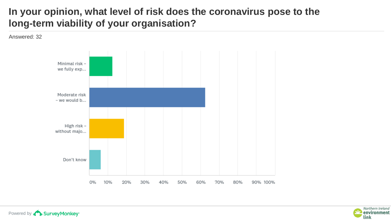### **In your opinion, what level of risk does the coronavirus pose to the long-term viability of your organisation?**

Answered: 32





Powered by **BurveyMonkey**<sup>\*</sup>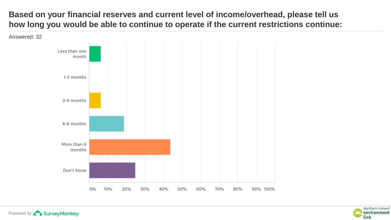**Based on your financial reserves and current level of income/overhead, please tell us how long you would be able to continue to operate if the current restrictions continue:**



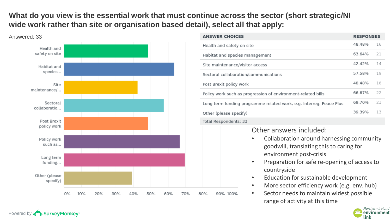#### **What do you view is the essential work that must continue across the sector (short strategic/NI wide work rather than site or organisation based detail), select all that apply:**



| <b>ANSWER CHOICES</b>                                                                                                                       | <b>RESPONSES</b> |    |
|---------------------------------------------------------------------------------------------------------------------------------------------|------------------|----|
| Health and safety on site                                                                                                                   | 48.48%           | 16 |
| Habitat and species management                                                                                                              | 63.64%           | 21 |
| Site maintenance/visitor access                                                                                                             | 42.42%           | 14 |
| Sectoral collaboration/communications                                                                                                       | 57.58%           | 19 |
| Post Brexit policy work                                                                                                                     | 48.48%           | 16 |
| Policy work such as progression of environment-related bills                                                                                | 66.67%           | 22 |
| Long term funding programme related work, e.g. Interreg, Peace Plus                                                                         | 69.70%           | 23 |
| Other (please specify)                                                                                                                      | 39.39%           | 13 |
| Total Respondents: 33                                                                                                                       |                  |    |
| Other answers included:<br>Collaboration around harnessing community<br>goodwill, translating this to caring for<br>environment post-crisis |                  |    |

- Preparation for safe re-opening of access to countryside
- Education for sustainable development
- More sector efficiency work (e.g. env. hub)
- Sector needs to maintain widest possible range of activity at this time

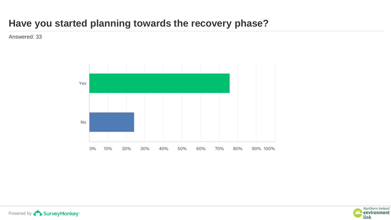### **Have you started planning towards the recovery phase?**





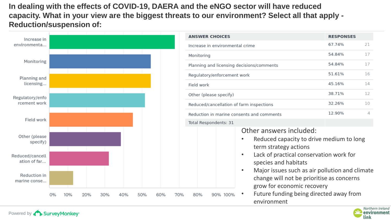**In dealing with the effects of COVID-19, DAERA and the eNGO sector will have reduced capacity. What in your view are the biggest threats to our environment? Select all that apply - Reduction/suspension of:**



Powered by **BurveyMonkey**<sup>\*</sup>

| <b>ANSWER CHOICES</b>                                                                                                                                                                                                                                                                                                                                                     |  | <b>RESPONSES</b> |    |  |
|---------------------------------------------------------------------------------------------------------------------------------------------------------------------------------------------------------------------------------------------------------------------------------------------------------------------------------------------------------------------------|--|------------------|----|--|
| Increase in environmental crime                                                                                                                                                                                                                                                                                                                                           |  | 67.74%           | 21 |  |
| Monitoring                                                                                                                                                                                                                                                                                                                                                                |  | 54.84%           | 17 |  |
| Planning and licensing decisions/comments                                                                                                                                                                                                                                                                                                                                 |  | 54.84%           | 17 |  |
| Regulatory/enforcement work                                                                                                                                                                                                                                                                                                                                               |  | 51.61%           | 16 |  |
| Field work                                                                                                                                                                                                                                                                                                                                                                |  | 45.16%           | 14 |  |
| Other (please specify)                                                                                                                                                                                                                                                                                                                                                    |  | 38.71%           | 12 |  |
| Reduced/cancellation of farm inspections                                                                                                                                                                                                                                                                                                                                  |  | 32.26%           | 10 |  |
| Reduction in marine consents and comments                                                                                                                                                                                                                                                                                                                                 |  | 12.90%           | 4  |  |
| Total Respondents: 31                                                                                                                                                                                                                                                                                                                                                     |  |                  |    |  |
| Other answers included:<br>Reduced capacity to drive medium to long<br>term strategy actions<br>Lack of practical conservation work for<br>species and habitats<br>Major issues such as air pollution and climate<br>change will not be prioritise as concerns<br>grow for economic recovery<br>Future funding being directed away from<br>90% 100%<br>80%<br>environment |  |                  |    |  |

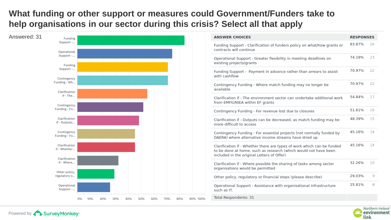### **What funding or other support or measures could Government/Funders take to help organisations in our sector during this crisis? Select all that apply**



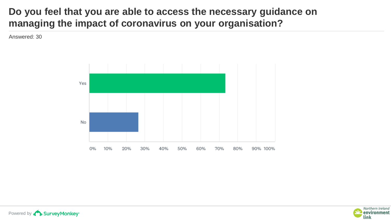### **Do you feel that you are able to access the necessary guidance on managing the impact of coronavirus on your organisation?**





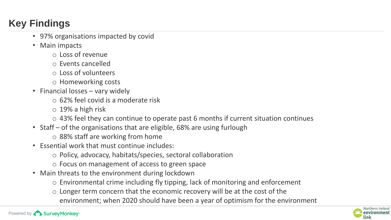# **Key Findings**

- 97% organisations impacted by covid
- Main impacts
	- o Loss of revenue
	- o Events cancelled
	- o Loss of volunteers
	- o Homeworking costs
- Financial losses vary widely
	- o 62% feel covid is a moderate risk
	- $\circ$  19% a high risk
	- o 43% feel they can continue to operate past 6 months if current situation continues
- Staff of the organisations that are eligible, 68% are using furlough
	- o 88% staff are working from home
- Essential work that must continue includes:
	- o Policy, advocacy, habitats/species, sectoral collaboration
	- o Focus on management of access to green space
- Main threats to the environment during lockdown
	- o Environmental crime including fly tipping, lack of monitoring and enforcement
	- o Longer term concern that the economic recovery will be at the cost of the environment; when 2020 should have been a year of optimism for the environment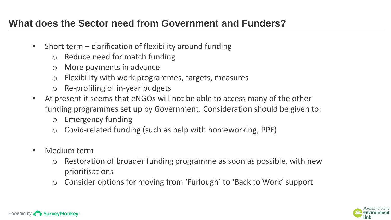### **What does the Sector need from Government and Funders?**

- Short term clarification of flexibility around funding
	- o Reduce need for match funding
	- o More payments in advance
	- o Flexibility with work programmes, targets, measures
	- o Re-profiling of in-year budgets
- At present it seems that eNGOs will not be able to access many of the other funding programmes set up by Government. Consideration should be given to:
	- o Emergency funding
	- o Covid-related funding (such as help with homeworking, PPE)
- Medium term
	- o Restoration of broader funding programme as soon as possible, with new prioritisations
	- o Consider options for moving from 'Furlough' to 'Back to Work' support